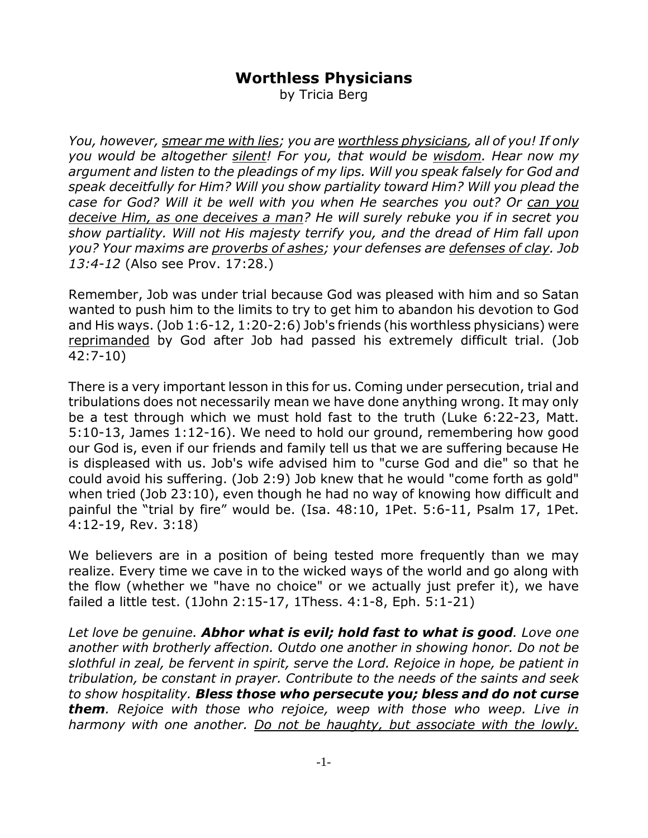## **Worthless Physicians**

by Tricia Berg

*You, however, smear me with lies; you are worthless physicians, all of you! If only you would be altogether silent! For you, that would be wisdom. Hear now my argument and listen to the pleadings of my lips. Will you speak falsely for God and speak deceitfully for Him? Will you show partiality toward Him? Will you plead the case for God? Will it be well with you when He searches you out? Or can you deceive Him, as one deceives a man? He will surely rebuke you if in secret you show partiality. Will not His majesty terrify you, and the dread of Him fall upon you? Your maxims are proverbs of ashes; your defenses are defenses of clay. Job 13:4-12* (Also see Prov. 17:28.)

Remember, Job was under trial because God was pleased with him and so Satan wanted to push him to the limits to try to get him to abandon his devotion to God and His ways. (Job 1:6-12, 1:20-2:6) Job's friends (his worthless physicians) were reprimanded by God after Job had passed his extremely difficult trial. (Job 42:7-10)

There is a very important lesson in this for us. Coming under persecution, trial and tribulations does not necessarily mean we have done anything wrong. It may only be a test through which we must hold fast to the truth (Luke 6:22-23, Matt. 5:10-13, James 1:12-16). We need to hold our ground, remembering how good our God is, even if our friends and family tell us that we are suffering because He is displeased with us. Job's wife advised him to "curse God and die" so that he could avoid his suffering. (Job 2:9) Job knew that he would "come forth as gold" when tried (Job 23:10), even though he had no way of knowing how difficult and painful the "trial by fire" would be. (Isa. 48:10, 1Pet. 5:6-11, Psalm 17, 1Pet. 4:12-19, Rev. 3:18)

We believers are in a position of being tested more frequently than we may realize. Every time we cave in to the wicked ways of the world and go along with the flow (whether we "have no choice" or we actually just prefer it), we have failed a little test. (1John 2:15-17, 1Thess. 4:1-8, Eph. 5:1-21)

*Let love be genuine. Abhor what is evil; hold fast to what is good. Love one another with brotherly affection. Outdo one another in showing honor. Do not be slothful in zeal, be fervent in spirit, serve the Lord. Rejoice in hope, be patient in tribulation, be constant in prayer. Contribute to the needs of the saints and seek to show hospitality. Bless those who persecute you; bless and do not curse them. Rejoice with those who rejoice, weep with those who weep. Live in harmony with one another. Do not be haughty, but associate with the lowly.*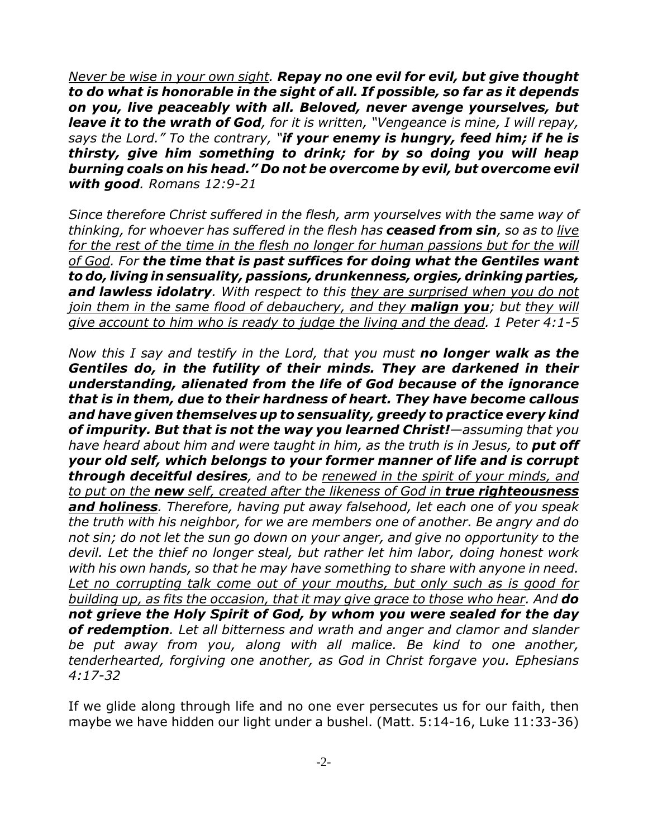*Never be wise in your own sight. Repay no one evil for evil, but give thought to do what is honorable in the sight of all. If possible, so far as it depends on you, live peaceably with all. Beloved, never avenge yourselves, but leave it to the wrath of God, for it is written, "Vengeance is mine, I will repay, says the Lord." To the contrary, "if your enemy is hungry, feed him; if he is thirsty, give him something to drink; for by so doing you will heap burning coals on his head." Do not be overcome by evil, but overcome evil with good. Romans 12:9-21*

*Since therefore Christ suffered in the flesh, arm yourselves with the same way of thinking, for whoever has suffered in the flesh has ceased from sin, so as to live* for the rest of the time in the flesh no longer for human passions but for the will *of God. For the time that is past suffices for doing what the Gentiles want to do, living in sensuality, passions, drunkenness, orgies, drinking parties, and lawless idolatry. With respect to this they are surprised when you do not join them in the same flood of debauchery, and they malign you; but they will give account to him who is ready to judge the living and the dead. 1 Peter 4:1-5*

*Now this I say and testify in the Lord, that you must no longer walk as the Gentiles do, in the futility of their minds. They are darkened in their understanding, alienated from the life of God because of the ignorance that is in them, due to their hardness of heart. They have become callous and have given themselves up to sensuality, greedy to practice every kind of impurity. But that is not the way you learned Christ!—assuming that you have heard about him and were taught in him, as the truth is in Jesus, to put off your old self, which belongs to your former manner of life and is corrupt through deceitful desires, and to be renewed in the spirit of your minds, and to put on the new self, created after the likeness of God in true righteousness and holiness. Therefore, having put away falsehood, let each one of you speak the truth with his neighbor, for we are members one of another. Be angry and do not sin; do not let the sun go down on your anger, and give no opportunity to the devil. Let the thief no longer steal, but rather let him labor, doing honest work with his own hands, so that he may have something to share with anyone in need. Let no corrupting talk come out of your mouths, but only such as is good for building up, as fits the occasion, that it may give grace to those who hear. And do not grieve the Holy Spirit of God, by whom you were sealed for the day of redemption. Let all bitterness and wrath and anger and clamor and slander be put away from you, along with all malice. Be kind to one another, tenderhearted, forgiving one another, as God in Christ forgave you. Ephesians 4:17-32*

If we glide along through life and no one ever persecutes us for our faith, then maybe we have hidden our light under a bushel. (Matt. 5:14-16, Luke 11:33-36)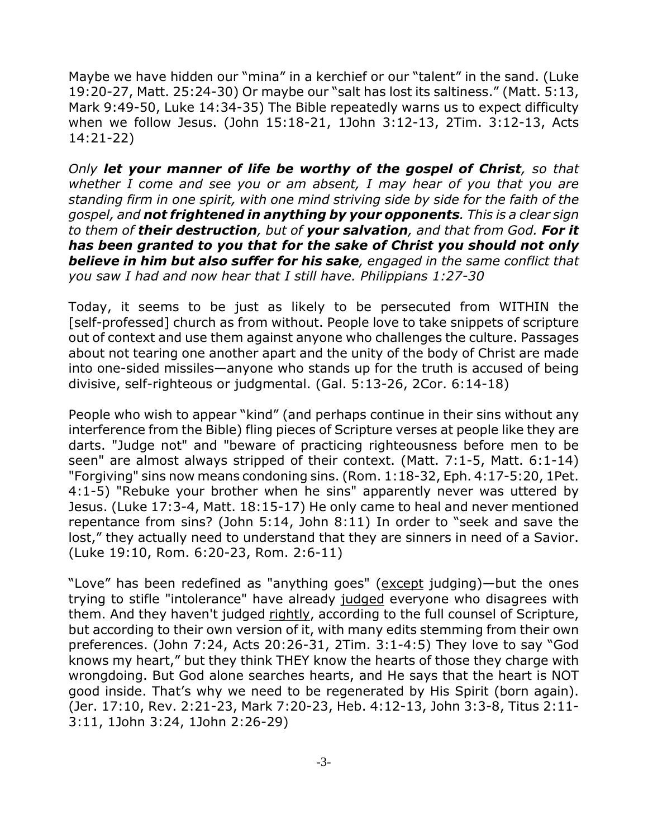Maybe we have hidden our "mina" in a kerchief or our "talent" in the sand. (Luke 19:20-27, Matt. 25:24-30) Or maybe our "salt has lost its saltiness." (Matt. 5:13, Mark 9:49-50, Luke 14:34-35) The Bible repeatedly warns us to expect difficulty when we follow Jesus. (John 15:18-21, 1John 3:12-13, 2Tim. 3:12-13, Acts 14:21-22)

*Only let your manner of life be worthy of the gospel of Christ, so that whether I come and see you or am absent, I may hear of you that you are standing firm in one spirit, with one mind striving side by side for the faith of the gospel, and not frightened in anything by your opponents. This is a clear sign to them of their destruction, but of your salvation, and that from God. For it has been granted to you that for the sake of Christ you should not only believe in him but also suffer for his sake, engaged in the same conflict that you saw I had and now hear that I still have. Philippians 1:27-30*

Today, it seems to be just as likely to be persecuted from WITHIN the [self-professed] church as from without. People love to take snippets of scripture out of context and use them against anyone who challenges the culture. Passages about not tearing one another apart and the unity of the body of Christ are made into one-sided missiles—anyone who stands up for the truth is accused of being divisive, self-righteous or judgmental. (Gal. 5:13-26, 2Cor. 6:14-18)

People who wish to appear "kind" (and perhaps continue in their sins without any interference from the Bible) fling pieces of Scripture verses at people like they are darts. "Judge not" and "beware of practicing righteousness before men to be seen" are almost always stripped of their context. (Matt. 7:1-5, Matt. 6:1-14) "Forgiving" sins now means condoning sins. (Rom. 1:18-32, Eph. 4:17-5:20, 1Pet. 4:1-5) "Rebuke your brother when he sins" apparently never was uttered by Jesus. (Luke 17:3-4, Matt. 18:15-17) He only came to heal and never mentioned repentance from sins? (John 5:14, John 8:11) In order to "seek and save the lost," they actually need to understand that they are sinners in need of a Savior. (Luke 19:10, Rom. 6:20-23, Rom. 2:6-11)

"Love" has been redefined as "anything goes" (except judging)—but the ones trying to stifle "intolerance" have already judged everyone who disagrees with them. And they haven't judged rightly, according to the full counsel of Scripture, but according to their own version of it, with many edits stemming from their own preferences. (John 7:24, Acts 20:26-31, 2Tim. 3:1-4:5) They love to say "God knows my heart," but they think THEY know the hearts of those they charge with wrongdoing. But God alone searches hearts, and He says that the heart is NOT good inside. That's why we need to be regenerated by His Spirit (born again). (Jer. 17:10, Rev. 2:21-23, Mark 7:20-23, Heb. 4:12-13, John 3:3-8, Titus 2:11- 3:11, 1John 3:24, 1John 2:26-29)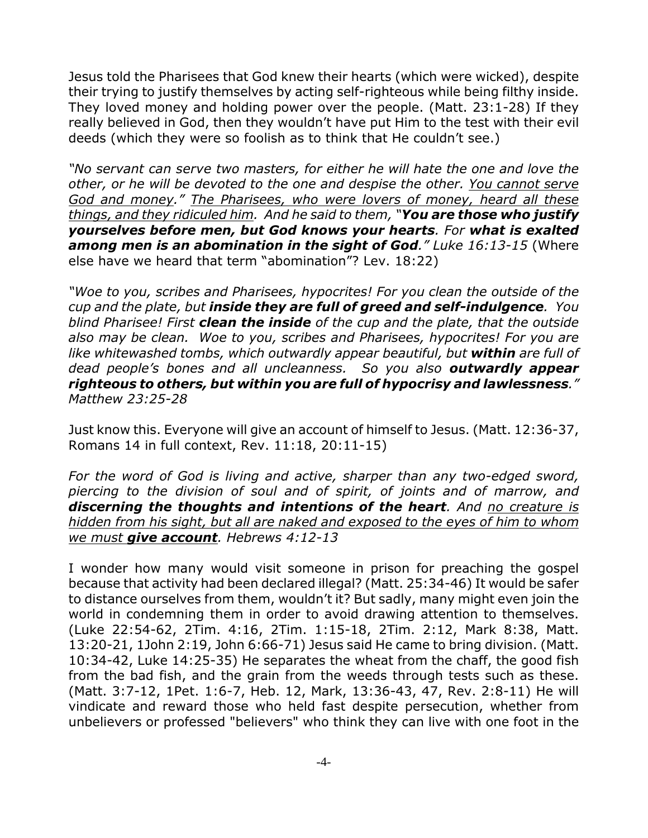Jesus told the Pharisees that God knew their hearts (which were wicked), despite their trying to justify themselves by acting self-righteous while being filthy inside. They loved money and holding power over the people. (Matt. 23:1-28) If they really believed in God, then they wouldn't have put Him to the test with their evil deeds (which they were so foolish as to think that He couldn't see.)

*"No servant can serve two masters, for either he will hate the one and love the other, or he will be devoted to the one and despise the other. You cannot serve God and money." The Pharisees, who were lovers of money, heard all these things, and they ridiculed him. And he said to them, "You are those who justify yourselves before men, but God knows your hearts. For what is exalted among men is an abomination in the sight of God." Luke 16:13-15* (Where else have we heard that term "abomination"? Lev. 18:22)

*"Woe to you, scribes and Pharisees, hypocrites! For you clean the outside of the cup and the plate, but inside they are full of greed and self-indulgence. You blind Pharisee! First clean the inside of the cup and the plate, that the outside also may be clean. Woe to you, scribes and Pharisees, hypocrites! For you are like whitewashed tombs, which outwardly appear beautiful, but within are full of dead people's bones and all uncleanness. So you also outwardly appear righteous to others, but within you are full of hypocrisy and lawlessness." Matthew 23:25-28*

Just know this. Everyone will give an account of himself to Jesus. (Matt. 12:36-37, Romans 14 in full context, Rev. 11:18, 20:11-15)

*For the word of God is living and active, sharper than any two-edged sword, piercing to the division of soul and of spirit, of joints and of marrow, and discerning the thoughts and intentions of the heart. And no creature is hidden from his sight, but all are naked and exposed to the eyes of him to whom we must give account. Hebrews 4:12-13*

I wonder how many would visit someone in prison for preaching the gospel because that activity had been declared illegal? (Matt. 25:34-46) It would be safer to distance ourselves from them, wouldn't it? But sadly, many might even join the world in condemning them in order to avoid drawing attention to themselves. (Luke 22:54-62, 2Tim. 4:16, 2Tim. 1:15-18, 2Tim. 2:12, Mark 8:38, Matt. 13:20-21, 1John 2:19, John 6:66-71) Jesus said He came to bring division. (Matt. 10:34-42, Luke 14:25-35) He separates the wheat from the chaff, the good fish from the bad fish, and the grain from the weeds through tests such as these. (Matt. 3:7-12, 1Pet. 1:6-7, Heb. 12, Mark, 13:36-43, 47, Rev. 2:8-11) He will vindicate and reward those who held fast despite persecution, whether from unbelievers or professed "believers" who think they can live with one foot in the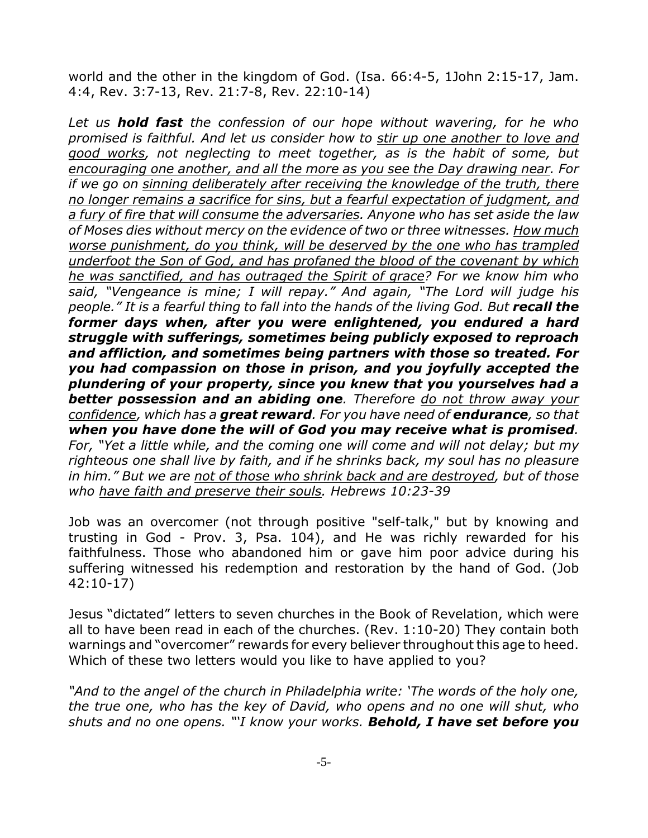world and the other in the kingdom of God. (Isa. 66:4-5, 1John 2:15-17, Jam. 4:4, Rev. 3:7-13, Rev. 21:7-8, Rev. 22:10-14)

*Let us hold fast the confession of our hope without wavering, for he who promised is faithful. And let us consider how to stir up one another to love and good works, not neglecting to meet together, as is the habit of some, but encouraging one another, and all the more as you see the Day drawing near. For if we go on sinning deliberately after receiving the knowledge of the truth, there no longer remains a sacrifice for sins, but a fearful expectation of judgment, and a fury of fire that will consume the adversaries. Anyone who has set aside the law of Moses dies without mercy on the evidence of two or three witnesses. How much worse punishment, do you think, will be deserved by the one who has trampled underfoot the Son of God, and has profaned the blood of the covenant by which he was sanctified, and has outraged the Spirit of grace? For we know him who said, "Vengeance is mine; I will repay." And again, "The Lord will judge his people." It is a fearful thing to fall into the hands of the living God. But recall the former days when, after you were enlightened, you endured a hard struggle with sufferings, sometimes being publicly exposed to reproach and affliction, and sometimes being partners with those so treated. For you had compassion on those in prison, and you joyfully accepted the plundering of your property, since you knew that you yourselves had a better possession and an abiding one. Therefore do not throw away your confidence, which has a great reward. For you have need of endurance, so that when you have done the will of God you may receive what is promised. For, "Yet a little while, and the coming one will come and will not delay; but my righteous one shall live by faith, and if he shrinks back, my soul has no pleasure in him." But we are not of those who shrink back and are destroyed, but of those who have faith and preserve their souls. Hebrews 10:23-39*

Job was an overcomer (not through positive "self-talk," but by knowing and trusting in God - Prov. 3, Psa. 104), and He was richly rewarded for his faithfulness. Those who abandoned him or gave him poor advice during his suffering witnessed his redemption and restoration by the hand of God. (Job 42:10-17)

Jesus "dictated" letters to seven churches in the Book of Revelation, which were all to have been read in each of the churches. (Rev. 1:10-20) They contain both warnings and "overcomer" rewards for every believer throughout this age to heed. Which of these two letters would you like to have applied to you?

*"And to the angel of the church in Philadelphia write: 'The words of the holy one, the true one, who has the key of David, who opens and no one will shut, who shuts and no one opens. "'I know your works. Behold, I have set before you*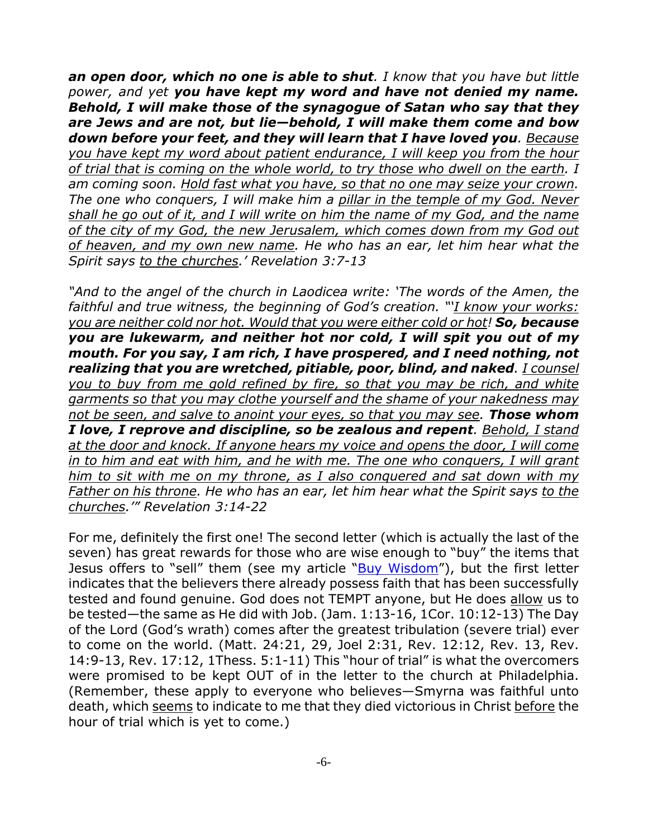*an open door, which no one is able to shut. I know that you have but little power, and yet you have kept my word and have not denied my name. Behold, I will make those of the synagogue of Satan who say that they are Jews and are not, but lie—behold, I will make them come and bow down before your feet, and they will learn that I have loved you. Because you have kept my word about patient endurance, I will keep you from the hour of trial that is coming on the whole world, to try those who dwell on the earth. I am coming soon. Hold fast what you have, so that no one may seize your crown. The one who conquers, I will make him a pillar in the temple of my God. Never shall he go out of it, and I will write on him the name of my God, and the name of the city of my God, the new Jerusalem, which comes down from my God out of heaven, and my own new name. He who has an ear, let him hear what the Spirit says to the churches.' Revelation 3:7-13*

*"And to the angel of the church in Laodicea write: 'The words of the Amen, the faithful and true witness, the beginning of God's creation. "'I know your works: you are neither cold nor hot. Would that you were either cold or hot! So, because you are lukewarm, and neither hot nor cold, I will spit you out of my mouth. For you say, I am rich, I have prospered, and I need nothing, not realizing that you are wretched, pitiable, poor, blind, and naked. I counsel you to buy from me gold refined by fire, so that you may be rich, and white garments so that you may clothe yourself and the shame of your nakedness may not be seen, and salve to anoint your eyes, so that you may see. Those whom I love, I reprove and discipline, so be zealous and repent. Behold, I stand at the door and knock. If anyone hears my voice and opens the door, I will come in to him and eat with him, and he with me. The one who conquers, I will grant him to sit with me on my throne, as I also conquered and sat down with my Father on his throne. He who has an ear, let him hear what the Spirit says to the churches.'" Revelation 3:14-22*

For me, definitely the first one! The second letter (which is actually the last of the seven) has great rewards for those who are wise enough to "buy" the items that Jesus offers to "sell" them (see my article "Buy Wisdom"), but the first letter indicates that the believers there already possess faith that has been successfully tested and found genuine. God does not TEMPT anyone, but He does allow us to be tested—the same as He did with Job. (Jam. 1:13-16, 1Cor. 10:12-13) The Day of the Lord (God's wrath) comes after the greatest tribulation (severe trial) ever to come on the world. (Matt. 24:21, 29, Joel 2:31, Rev. 12:12, Rev. 13, Rev. 14:9-13, Rev. 17:12, 1Thess. 5:1-11) This "hour of trial" is what the overcomers were promised to be kept OUT of in the letter to the church at Philadelphia. (Remember, these apply to everyone who believes—Smyrna was faithful unto death, which seems to indicate to me that they died victorious in Christ before the hour of trial which is yet to come.)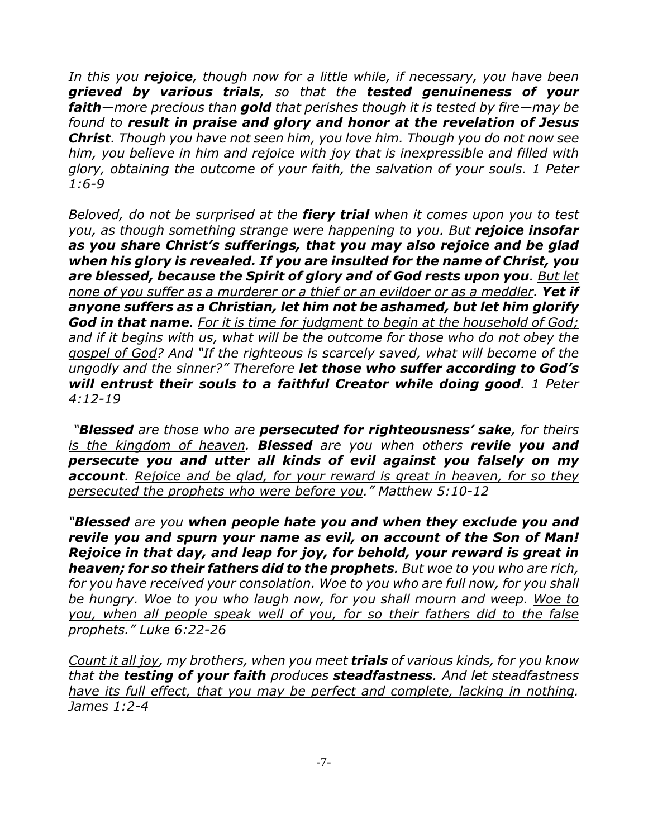*In this you rejoice, though now for a little while, if necessary, you have been grieved by various trials, so that the tested genuineness of your faith—more precious than gold that perishes though it is tested by fire—may be found to result in praise and glory and honor at the revelation of Jesus Christ. Though you have not seen him, you love him. Though you do not now see him, you believe in him and rejoice with joy that is inexpressible and filled with glory, obtaining the outcome of your faith, the salvation of your souls. 1 Peter 1:6-9*

*Beloved, do not be surprised at the fiery trial when it comes upon you to test you, as though something strange were happening to you. But rejoice insofar as you share Christ's sufferings, that you may also rejoice and be glad when his glory is revealed. If you are insulted for the name of Christ, you are blessed, because the Spirit of glory and of God rests upon you. But let none of you suffer as a murderer or a thief or an evildoer or as a meddler. Yet if anyone suffers as a Christian, let him not be ashamed, but let him glorify God in that name. For it is time for judgment to begin at the household of God; and if it begins with us, what will be the outcome for those who do not obey the gospel of God? And "If the righteous is scarcely saved, what will become of the ungodly and the sinner?" Therefore let those who suffer according to God's will entrust their souls to a faithful Creator while doing good. 1 Peter 4:12-19*

 *"Blessed are those who are persecuted for righteousness' sake, for theirs is the kingdom of heaven. Blessed are you when others revile you and persecute you and utter all kinds of evil against you falsely on my account. Rejoice and be glad, for your reward is great in heaven, for so they persecuted the prophets who were before you." Matthew 5:10-12*

*"Blessed are you when people hate you and when they exclude you and revile you and spurn your name as evil, on account of the Son of Man! Rejoice in that day, and leap for joy, for behold, your reward is great in heaven; for so their fathers did to the prophets. But woe to you who are rich, for you have received your consolation. Woe to you who are full now, for you shall be hungry. Woe to you who laugh now, for you shall mourn and weep. Woe to you, when all people speak well of you, for so their fathers did to the false prophets." Luke 6:22-26*

*Count it all joy, my brothers, when you meet trials of various kinds, for you know that the testing of your faith produces steadfastness. And let steadfastness have its full effect, that you may be perfect and complete, lacking in nothing. James 1:2-4*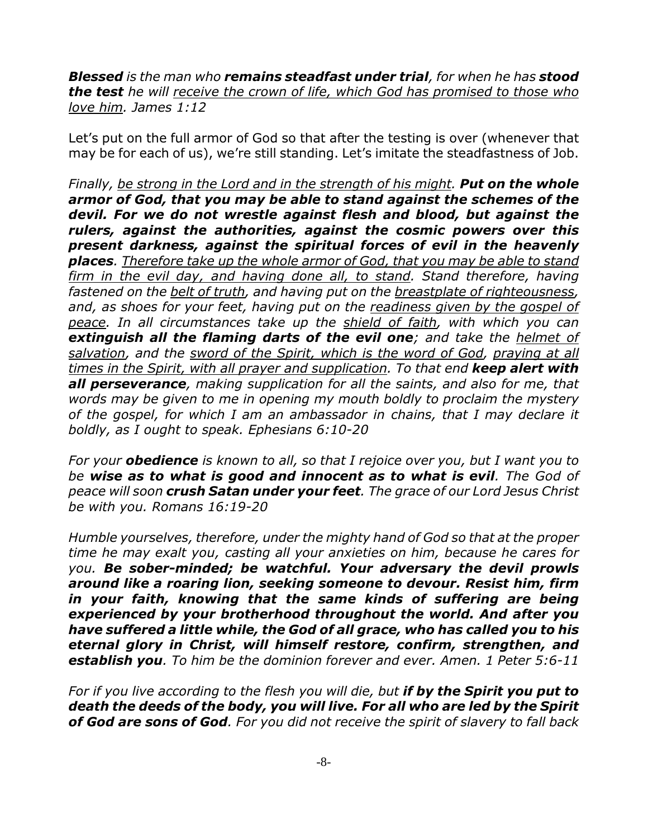*Blessed is the man who remains steadfast under trial, for when he has stood the test he will receive the crown of life, which God has promised to those who love him. James 1:12*

Let's put on the full armor of God so that after the testing is over (whenever that may be for each of us), we're still standing. Let's imitate the steadfastness of Job.

*Finally, be strong in the Lord and in the strength of his might. Put on the whole armor of God, that you may be able to stand against the schemes of the devil. For we do not wrestle against flesh and blood, but against the rulers, against the authorities, against the cosmic powers over this present darkness, against the spiritual forces of evil in the heavenly places. Therefore take up the whole armor of God, that you may be able to stand firm in the evil day, and having done all, to stand. Stand therefore, having fastened on the belt of truth, and having put on the breastplate of righteousness, and, as shoes for your feet, having put on the readiness given by the gospel of peace. In all circumstances take up the shield of faith, with which you can extinguish all the flaming darts of the evil one; and take the helmet of salvation, and the sword of the Spirit, which is the word of God, praying at all times in the Spirit, with all prayer and supplication. To that end keep alert with all perseverance, making supplication for all the saints, and also for me, that words may be given to me in opening my mouth boldly to proclaim the mystery of the gospel, for which I am an ambassador in chains, that I may declare it boldly, as I ought to speak. Ephesians 6:10-20*

*For your obedience is known to all, so that I rejoice over you, but I want you to be wise as to what is good and innocent as to what is evil. The God of peace will soon crush Satan under your feet. The grace of our Lord Jesus Christ be with you. Romans 16:19-20*

*Humble yourselves, therefore, under the mighty hand of God so that at the proper time he may exalt you, casting all your anxieties on him, because he cares for you. Be sober-minded; be watchful. Your adversary the devil prowls around like a roaring lion, seeking someone to devour. Resist him, firm in your faith, knowing that the same kinds of suffering are being experienced by your brotherhood throughout the world. And after you have suffered a little while, the God of all grace, who has called you to his eternal glory in Christ, will himself restore, confirm, strengthen, and establish you. To him be the dominion forever and ever. Amen. 1 Peter 5:6-11*

*For if you live according to the flesh you will die, but if by the Spirit you put to death the deeds of the body, you will live. For all who are led by the Spirit of God are sons of God. For you did not receive the spirit of slavery to fall back*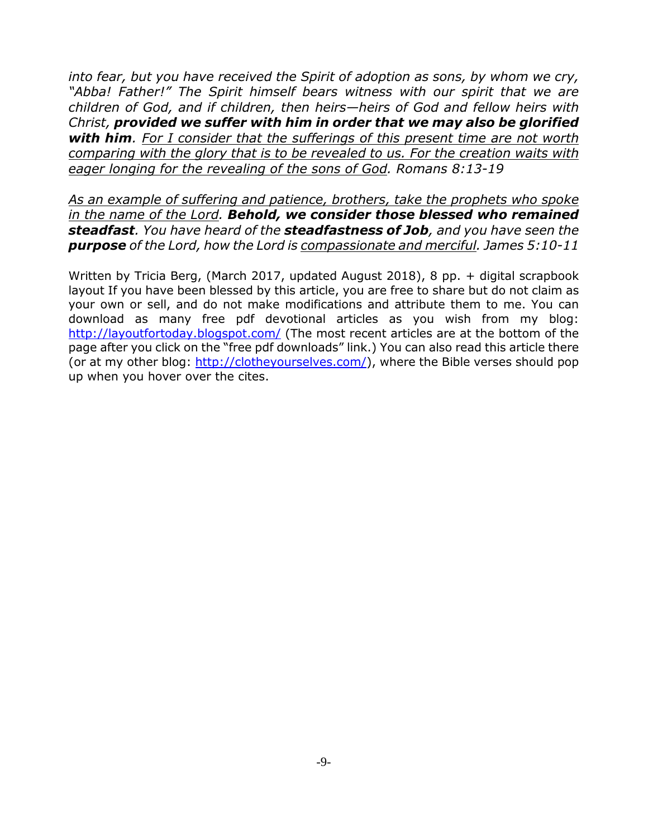*into fear, but you have received the Spirit of adoption as sons, by whom we cry, "Abba! Father!" The Spirit himself bears witness with our spirit that we are children of God, and if children, then heirs—heirs of God and fellow heirs with Christ, provided we suffer with him in order that we may also be glorified with him. For I consider that the sufferings of this present time are not worth comparing with the glory that is to be revealed to us. For the creation waits with eager longing for the revealing of the sons of God. Romans 8:13-19*

*As an example of suffering and patience, brothers, take the prophets who spoke in the name of the Lord. Behold, we consider those blessed who remained steadfast. You have heard of the steadfastness of Job, and you have seen the purpose of the Lord, how the Lord is compassionate and merciful. James 5:10-11*

Written by Tricia Berg, (March 2017, updated August 2018), 8 pp. + digital scrapbook layout If you have been blessed by this article, you are free to share but do not claim as your own or sell, and do not make modifications and attribute them to me. You can download as many free pdf devotional articles as you wish from my blog: http://layoutfortoday.blogspot.com/ (The most recent articles are at the bottom of the page after you click on the "free pdf downloads" link.) You can also read this article there (or at my other blog: http://clotheyourselves.com/), where the Bible verses should pop up when you hover over the cites.